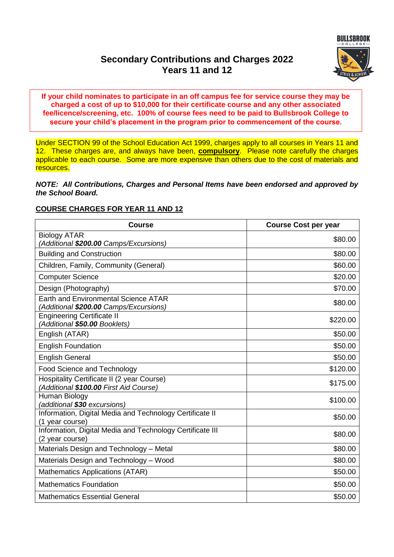# **Secondary Contributions and Charges 2022 Years 11 and 12**



**If your child nominates to participate in an off campus fee for service course they may be charged a cost of up to \$10,000 for their certificate course and any other associated fee/licence/screening, etc. 100% of course fees need to be paid to Bullsbrook College to secure your child's placement in the program prior to commencement of the course.**

Under SECTION 99 of the School Education Act 1999, charges apply to all courses in Years 11 and 12. These charges are, and always have been, **compulsory**. Please note carefully the charges applicable to each course. Some are more expensive than others due to the cost of materials and resources.

#### *NOTE: All Contributions, Charges and Personal Items have been endorsed and approved by the School Board.*

# **COURSE CHARGES FOR YEAR 11 AND 12**

| <b>Course</b>                                                                         | <b>Course Cost per year</b> |
|---------------------------------------------------------------------------------------|-----------------------------|
| <b>Biology ATAR</b><br>(Additional \$200.00 Camps/Excursions)                         | \$80.00                     |
| <b>Building and Construction</b>                                                      | \$80.00                     |
| Children, Family, Community (General)                                                 | \$60.00                     |
| <b>Computer Science</b>                                                               | \$20.00                     |
| Design (Photography)                                                                  | \$70.00                     |
| <b>Earth and Environmental Science ATAR</b><br>(Additional \$200.00 Camps/Excursions) | \$80.00                     |
| <b>Engineering Certificate II</b><br>(Additional \$50.00 Booklets)                    | \$220.00                    |
| English (ATAR)                                                                        | \$50.00                     |
| <b>English Foundation</b>                                                             | \$50.00                     |
| <b>English General</b>                                                                | \$50.00                     |
| <b>Food Science and Technology</b>                                                    | \$120.00                    |
| Hospitality Certificate II (2 year Course)<br>(Additional \$100.00 First Aid Course)  | \$175.00                    |
| Human Biology<br>(additional \$30 excursions)                                         | \$100.00                    |
| Information, Digital Media and Technology Certificate II<br>(1 year course)           | \$50.00                     |
| Information, Digital Media and Technology Certificate III<br>(2 year course)          | \$80.00                     |
| Materials Design and Technology - Metal                                               | \$80.00                     |
| Materials Design and Technology - Wood                                                | \$80.00                     |
| Mathematics Applications (ATAR)                                                       | \$50.00                     |
| <b>Mathematics Foundation</b>                                                         | \$50.00                     |
| <b>Mathematics Essential General</b>                                                  | \$50.00                     |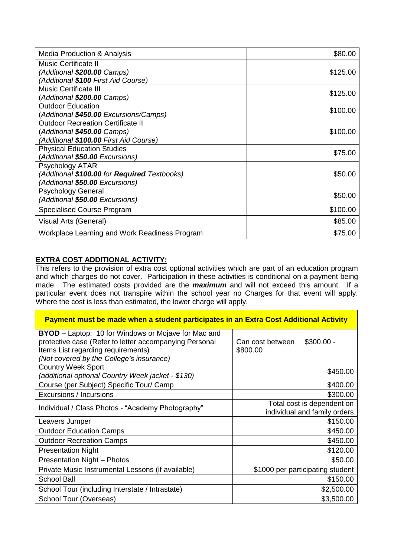| <b>Media Production &amp; Analysis</b>        | \$80.00  |
|-----------------------------------------------|----------|
| Music Certificate II                          |          |
| (Additional \$200.00 Camps)                   | \$125.00 |
| (Additional \$100 First Aid Course)           |          |
| <b>Music Certificate III</b>                  | \$125.00 |
| (Additional \$200.00 Camps)                   |          |
| <b>Outdoor Education</b>                      | \$100.00 |
| (Additional \$450.00 Excursions/Camps)        |          |
| <b>Outdoor Recreation Certificate II</b>      |          |
| (Additional \$450.00 Camps)                   | \$100.00 |
| (Additional \$100.00 First Aid Course)        |          |
| <b>Physical Education Studies</b>             | \$75.00  |
| (Additional \$50.00 Excursions)               |          |
| Psychology ATAR                               |          |
| (Additional \$100.00 for Required Textbooks)  | \$50.00  |
| (Additional \$50.00 Excursions)               |          |
| <b>Psychology General</b>                     | \$50.00  |
| (Additional \$50.00 Excursions)               |          |
| <b>Specialised Course Program</b>             | \$100.00 |
| Visual Arts (General)                         | \$85.00  |
| Workplace Learning and Work Readiness Program | \$75.00  |

# **EXTRA COST ADDITIONAL ACTIVITY:**

 $\blacksquare$ 

This refers to the provision of extra cost optional activities which are part of an education program and which charges do not cover. Participation in these activities is conditional on a payment being made. The estimated costs provided are the *maximum* and will not exceed this amount. If a particular event does not transpire within the school year no Charges for that event will apply. Where the cost is less than estimated, the lower charge will apply.

 $\overline{\phantom{0}}$ 

| Payment must be made when a student participates in an Extra Cost Additional Activity |                                  |  |
|---------------------------------------------------------------------------------------|----------------------------------|--|
| <b>BYOD</b> – Laptop: 10 for Windows or Mojave for Mac and                            |                                  |  |
| protective case (Refer to letter accompanying Personal                                | $$300.00 -$<br>Can cost between  |  |
| Items List regarding requirements)                                                    | \$800.00                         |  |
| (Not covered by the College's insurance)                                              |                                  |  |
| <b>Country Week Sport</b>                                                             | \$450.00                         |  |
| (additional optional Country Week jacket - \$130)                                     |                                  |  |
| Course (per Subject) Specific Tour/ Camp                                              | \$400.00                         |  |
| Excursions / Incursions                                                               | \$300.00                         |  |
| Individual / Class Photos - "Academy Photography"                                     | Total cost is dependent on       |  |
|                                                                                       | individual and family orders     |  |
| Leavers Jumper                                                                        | \$150.00                         |  |
| <b>Outdoor Education Camps</b>                                                        | \$450.00                         |  |
| <b>Outdoor Recreation Camps</b>                                                       | \$450.00                         |  |
| <b>Presentation Night</b>                                                             | \$120.00                         |  |
| <b>Presentation Night - Photos</b>                                                    | \$50.00                          |  |
| Private Music Instrumental Lessons (if available)                                     | \$1000 per participating student |  |
| <b>School Ball</b>                                                                    | \$150.00                         |  |
| School Tour (including Interstate / Intrastate)                                       | \$2,500.00                       |  |
| School Tour (Overseas)                                                                | \$3,500.00                       |  |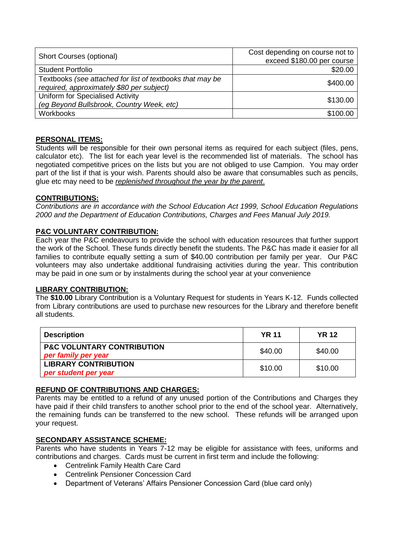| Short Courses (optional)                                  | Cost depending on course not to |
|-----------------------------------------------------------|---------------------------------|
|                                                           | exceed \$180.00 per course      |
| <b>Student Portfolio</b>                                  | \$20.00                         |
| Textbooks (see attached for list of textbooks that may be | \$400.00                        |
| required, approximately \$80 per subject)                 |                                 |
| Uniform for Specialised Activity                          | \$130.00                        |
| (eg Beyond Bullsbrook, Country Week, etc)                 |                                 |
| <b>Workbooks</b>                                          | \$100.00                        |

# **PERSONAL ITEMS:**

Students will be responsible for their own personal items as required for each subject (files, pens, calculator etc). The list for each year level is the recommended list of materials. The school has negotiated competitive prices on the lists but you are not obliged to use Campion. You may order part of the list if that is your wish. Parents should also be aware that consumables such as pencils, glue etc may need to be *replenished throughout the year by the parent*.

# **CONTRIBUTIONS:**

*Contributions are in accordance with the School Education Act 1999, School Education Regulations 2000 and the Department of Education Contributions, Charges and Fees Manual July 2019.*

# **P&C VOLUNTARY CONTRIBUTION:**

Each year the P&C endeavours to provide the school with education resources that further support the work of the School. These funds directly benefit the students. The P&C has made it easier for all families to contribute equally setting a sum of \$40.00 contribution per family per year. Our P&C volunteers may also undertake additional fundraising activities during the year. This contribution may be paid in one sum or by instalments during the school year at your convenience

#### **LIBRARY CONTRIBUTION:**

The **\$10.00** Library Contribution is a Voluntary Request for students in Years K-12. Funds collected from Library contributions are used to purchase new resources for the Library and therefore benefit all students.

| <b>Description</b>                                           | <b>YR 11</b> | <b>YR 12</b> |
|--------------------------------------------------------------|--------------|--------------|
| <b>P&amp;C VOLUNTARY CONTRIBUTION</b><br>per family per year | \$40.00      | \$40.00      |
| <b>LIBRARY CONTRIBUTION</b><br>per student per year          | \$10.00      | \$10.00      |

#### **REFUND OF CONTRIBUTIONS AND CHARGES:**

Parents may be entitled to a refund of any unused portion of the Contributions and Charges they have paid if their child transfers to another school prior to the end of the school year. Alternatively, the remaining funds can be transferred to the new school. These refunds will be arranged upon your request.

#### **SECONDARY ASSISTANCE SCHEME:**

Parents who have students in Years 7-12 may be eligible for assistance with fees, uniforms and contributions and charges. Cards must be current in first term and include the following:

- Centrelink Family Health Care Card
- Centrelink Pensioner Concession Card
- Department of Veterans' Affairs Pensioner Concession Card (blue card only)